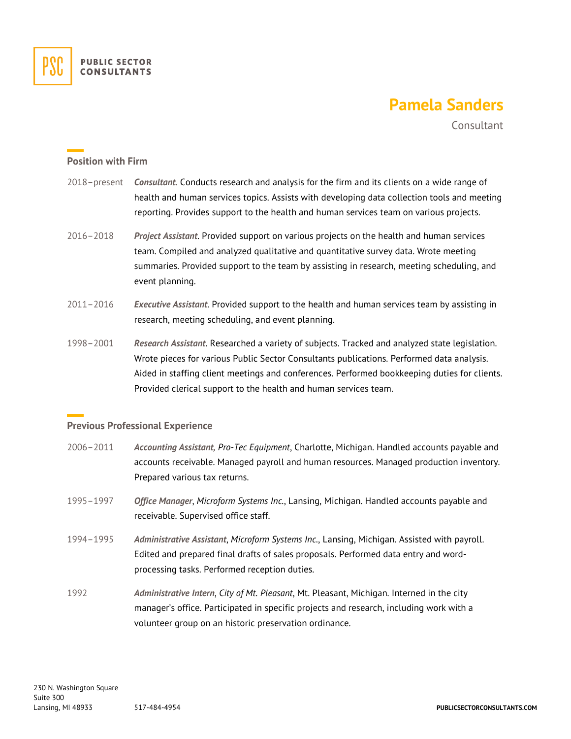

## **Pamela Sanders**

**Consultant** 

## **Position with Firm**

- 2018–present *Consultant.* Conducts research and analysis for the firm and its clients on a wide range of health and human services topics. Assists with developing data collection tools and meeting reporting. Provides support to the health and human services team on various projects.
- 2016–2018 *Project Assistant*. Provided support on various projects on the health and human services team. Compiled and analyzed qualitative and quantitative survey data. Wrote meeting summaries. Provided support to the team by assisting in research, meeting scheduling, and event planning.
- 2011–2016 *Executive Assistant*. Provided support to the health and human services team by assisting in research, meeting scheduling, and event planning.
- 1998–2001 *Research Assistant*. Researched a variety of subjects. Tracked and analyzed state legislation. Wrote pieces for various Public Sector Consultants publications. Performed data analysis. Aided in staffing client meetings and conferences. Performed bookkeeping duties for clients. Provided clerical support to the health and human services team.

## **Previous Professional Experience**

- 2006–2011 *Accounting Assistant, Pro-Tec Equipment*, Charlotte, Michigan. Handled accounts payable and accounts receivable. Managed payroll and human resources. Managed production inventory. Prepared various tax returns.
- 1995–1997 *Office Manager*, *Microform Systems Inc.*, Lansing, Michigan. Handled accounts payable and receivable. Supervised office staff.
- 1994–1995 *Administrative Assistant*, *Microform Systems Inc.*, Lansing, Michigan. Assisted with payroll. Edited and prepared final drafts of sales proposals. Performed data entry and wordprocessing tasks. Performed reception duties.
- 1992 *Administrative Intern*, *City of Mt. Pleasant*, Mt. Pleasant, Michigan. Interned in the city manager's office. Participated in specific projects and research, including work with a volunteer group on an historic preservation ordinance.